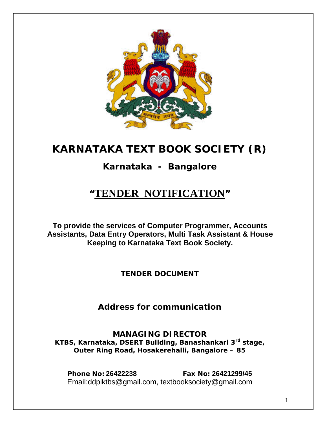

# **KARNATAKA TEXT BOOK SOCIETY (R)**

# **Karnataka - Bangalore**

# **"TENDER NOTIFICATION"**

**To provide the services of Computer Programmer, Accounts Assistants, Data Entry Operators, Multi Task Assistant & House Keeping to Karnataka Text Book Society.**

*TENDER DOCUMENT* 

*Address for communication* 

**MANAGING DIRECTOR KTBS, Karnataka, DSERT Building, Banashankari 3rd stage, Outer Ring Road, Hosakerehalli, Bangalore – 85** 

**Phone No: 26422238 Fax No: 26421299/45**  Email:ddpiktbs@gmail.com, textbooksociety@gmail.com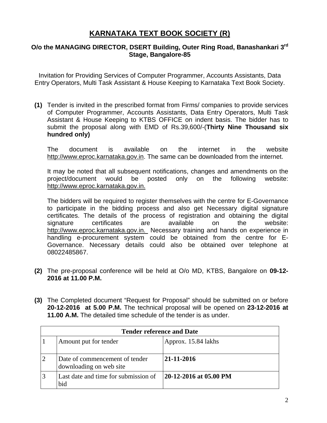# **KARNATAKA TEXT BOOK SOCIETY (R)**

## **O/o the MANAGING DIRECTOR, DSERT Building, Outer Ring Road, Banashankari 3rd Stage, Bangalore-85**

Invitation for Providing Services of Computer Programmer, Accounts Assistants, Data Entry Operators, Multi Task Assistant & House Keeping to Karnataka Text Book Society.

**(1)** Tender is invited in the prescribed format from Firms/ companies to provide services of Computer Programmer, Accounts Assistants, Data Entry Operators, Multi Task Assistant & House Keeping to KTBS OFFICE on indent basis. The bidder has to submit the proposal along with EMD of Rs.39,600/-(**Thirty Nine Thousand six hundred only)** 

The document is available on the internet in the website http://www.eproc.karnataka.gov.in. The same can be downloaded from the internet.

It may be noted that all subsequent notifications, changes and amendments on the project/document would be posted only on the following website: http://www.eproc.karnataka.gov.in.

The bidders will be required to register themselves with the centre for E-Governance to participate in the bidding process and also get Necessary digital signature certificates. The details of the process of registration and obtaining the digital signature certificates are available on the website: http://www.eproc.karnataka.gov.in. Necessary training and hands on experience in handling e-procurement system could be obtained from the centre for E-Governance. Necessary details could also be obtained over telephone at 08022485867.

- **(2)** The pre-proposal conference will be held at O/o MD, KTBS, Bangalore on **09-12- 2016 at 11.00 P.M.**
- **(3)** The Completed document "Request for Proposal" should be submitted on or before **20-12-2016 at 5.00 P.M.** The technical proposal will be opened on **23-12-2016 at 11.00 A.M.** The detailed time schedule of the tender is as under.

| <b>Tender reference and Date</b>                          |                        |
|-----------------------------------------------------------|------------------------|
| Amount put for tender                                     | Approx. 15.84 lakhs    |
| Date of commencement of tender<br>downloading on web site | 21-11-2016             |
| Last date and time for submission of<br>bid               | 20-12-2016 at 05.00 PM |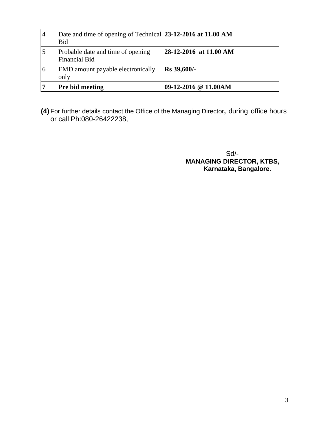| $\overline{4}$ | Date and time of opening of Technical 23-12-2016 at 11.00 AM<br><b>Bid</b> |                        |
|----------------|----------------------------------------------------------------------------|------------------------|
| $\overline{5}$ | Probable date and time of opening<br><b>Financial Bid</b>                  | 28-12-2016 at 11.00 AM |
| 6              | EMD amount payable electronically<br>only                                  | <b>Rs</b> 39,600/-     |
| $\overline{7}$ | Pre bid meeting                                                            | 09-12-2016 @ 11.00AM   |

**(4)** For further details contact the Office of the Managing Director**,** during office hours or call Ph:080-26422238,

 Sd/-  **MANAGING DIRECTOR, KTBS, Karnataka, Bangalore.**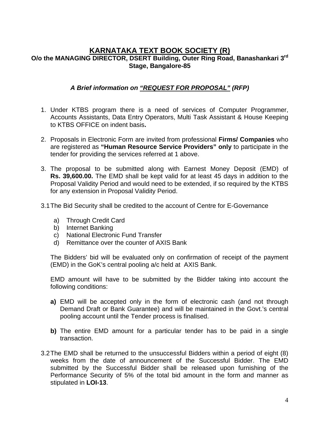# **KARNATAKA TEXT BOOK SOCIETY (R) O/o the MANAGING DIRECTOR, DSERT Building, Outer Ring Road, Banashankari 3rd Stage, Bangalore-85**

# *A Brief information on "REQUEST FOR PROPOSAL" (RFP)*

- 1. Under KTBS program there is a need of services of Computer Programmer, Accounts Assistants, Data Entry Operators, Multi Task Assistant & House Keeping to KTBS OFFICE on indent basis**.**
- 2. Proposals in Electronic Form are invited from professional **Firms/ Companies** who are registered as **"Human Resource Service Providers" only** to participate in the tender for providing the services referred at 1 above.
- 3. The proposal to be submitted along with Earnest Money Deposit (EMD) of **Rs. 39,600.00.** The EMD shall be kept valid for at least 45 days in addition to the Proposal Validity Period and would need to be extended, if so required by the KTBS for any extension in Proposal Validity Period.
- 3.1 The Bid Security shall be credited to the account of Centre for E-Governance
	- a) Through Credit Card
	- b) Internet Banking
	- c) National Electronic Fund Transfer
	- d) Remittance over the counter of AXIS Bank

The Bidders' bid will be evaluated only on confirmation of receipt of the payment (EMD) in the GoK's central pooling a/c held at AXIS Bank.

EMD amount will have to be submitted by the Bidder taking into account the following conditions:

- **a)** EMD will be accepted only in the form of electronic cash (and not through Demand Draft or Bank Guarantee) and will be maintained in the Govt.'s central pooling account until the Tender process is finalised.
- **b)** The entire EMD amount for a particular tender has to be paid in a single transaction.
- 3.2 The EMD shall be returned to the unsuccessful Bidders within a period of eight (8) weeks from the date of announcement of the Successful Bidder. The EMD submitted by the Successful Bidder shall be released upon furnishing of the Performance Security of 5% of the total bid amount in the form and manner as stipulated in **LOI-13**.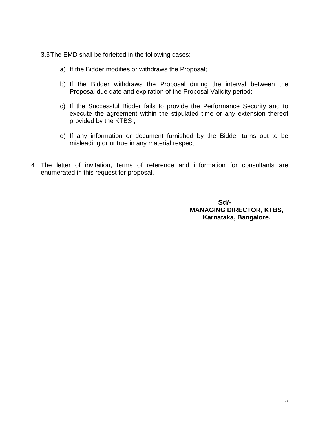3.3 The EMD shall be forfeited in the following cases:

- a) If the Bidder modifies or withdraws the Proposal;
- b) If the Bidder withdraws the Proposal during the interval between the Proposal due date and expiration of the Proposal Validity period;
- c) If the Successful Bidder fails to provide the Performance Security and to execute the agreement within the stipulated time or any extension thereof provided by the KTBS ;
- d) If any information or document furnished by the Bidder turns out to be misleading or untrue in any material respect;
- **4** The letter of invitation, terms of reference and information for consultants are enumerated in this request for proposal.

 **Sd/- MANAGING DIRECTOR, KTBS, Karnataka, Bangalore.**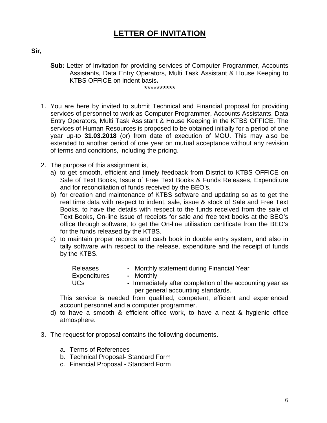# **LETTER OF INVITATION**

**Sir,** 

- **Sub:** Letter of Invitation for providing services of Computer Programmer, Accounts Assistants, Data Entry Operators, Multi Task Assistant & House Keeping to KTBS OFFICE on indent basis**.** \*\*\*\*\*\*\*\*\*\*
- 1. You are here by invited to submit Technical and Financial proposal for providing services of personnel to work as Computer Programmer, Accounts Assistants, Data Entry Operators, Multi Task Assistant & House Keeping in the KTBS OFFICE. The services of Human Resources is proposed to be obtained initially for a period of one year up-to **31.03.2018** (or) from date of execution of MOU. This may also be extended to another period of one year on mutual acceptance without any revision of terms and conditions, including the pricing.
- 2. The purpose of this assignment is,
	- a) to get smooth, efficient and timely feedback from District to KTBS OFFICE on Sale of Text Books, Issue of Free Text Books & Funds Releases, Expenditure and for reconciliation of funds received by the BEO's.
	- b) for creation and maintenance of KTBS software and updating so as to get the real time data with respect to indent, sale, issue & stock of Sale and Free Text Books, to have the details with respect to the funds received from the sale of Text Books, On-line issue of receipts for sale and free text books at the BEO's office through software, to get the On-line utilisation certificate from the BEO's for the funds released by the KTBS.
	- c) to maintain proper records and cash book in double entry system, and also in tally software with respect to the release, expenditure and the receipt of funds by the KTBS.

| <b>Releases</b> | - Monthly statement during Financial Year                |
|-----------------|----------------------------------------------------------|
| Expenditures    | - Monthly                                                |
| UCs             | - Immediately after completion of the accounting year as |
|                 | per general accounting standards.                        |

This service is needed from qualified, competent, efficient and experienced account personnel and a computer programmer.

- d) to have a smooth & efficient office work, to have a neat & hygienic office atmosphere.
- 3. The request for proposal contains the following documents.
	- a. Terms of References
	- b. Technical Proposal- Standard Form
	- c. Financial Proposal Standard Form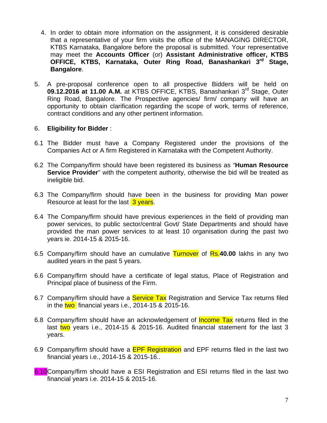- 4. In order to obtain more information on the assignment, it is considered desirable that a representative of your firm visits the office of the MANAGING DIRECTOR, KTBS Karnataka, Bangalore before the proposal is submitted. Your representative may meet the **Accounts Officer** (or) **Assistant Administrative officer, KTBS OFFICE, KTBS, Karnataka, Outer Ring Road, Banashankari 3rd Stage, Bangalore**.
- 5. A pre-proposal conference open to all prospective Bidders will be held on **09.12.2016 at 11.00 A.M.** at KTBS OFFICE, KTBS, Banashankari 3rd Stage, Outer Ring Road, Bangalore. The Prospective agencies/ firm/ company will have an opportunity to obtain clarification regarding the scope of work, terms of reference, contract conditions and any other pertinent information.

#### 6. **Eligibility for Bidder** :

- 6.1 The Bidder must have a Company Registered under the provisions of the Companies Act or A firm Registered in Karnataka with the Competent Authority.
- 6.2 The Company/firm should have been registered its business as "**Human Resource Service Provider**" with the competent authority, otherwise the bid will be treated as ineligible bid.
- 6.3 The Company/firm should have been in the business for providing Man power Resource at least for the last 3 years.
- 6.4 The Company/firm should have previous experiences in the field of providing man power services, to public sector/central Govt/ State Departments and should have provided the man power services to at least 10 organisation during the past two years ie. 2014-15 & 2015-16.
- 6.5 Company/firm should have an cumulative Turnover of Rs.**40.00** lakhs in any two audited years in the past 5 years.
- 6.6 Company/firm should have a certificate of legal status, Place of Registration and Principal place of business of the Firm.
- 6.7 Company/firm should have a **Service Tax** Registration and Service Tax returns filed in the two financial years i.e.,  $2014-15$  &  $2015-16$ .
- 6.8 Company/firm should have an acknowledgement of **Income Tax** returns filed in the last two years i.e., 2014-15 & 2015-16. Audited financial statement for the last 3 years.
- 6.9 Company/firm should have a **EPF Registration** and EPF returns filed in the last two financial years i.e., 2014-15 & 2015-16..
- 6.10 Company/firm should have a ESI Registration and ESI returns filed in the last two financial years i.e. 2014-15 & 2015-16.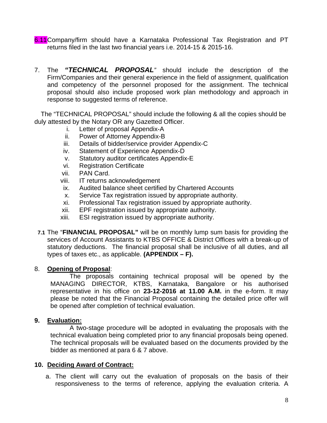- 6.11 Company/firm should have a Karnataka Professional Tax Registration and PT returns filed in the last two financial years i.e. 2014-15 & 2015-16.
- 7. The *"TECHNICAL PROPOSAL"* should include the description of the Firm/Companies and their general experience in the field of assignment, qualification and competency of the personnel proposed for the assignment. The technical proposal should also include proposed work plan methodology and approach in response to suggested terms of reference.

The "TECHNICAL PROPOSAL" should include the following & all the copies should be duly attested by the Notary OR any Gazetted Officer.

- i. Letter of proposal Appendix-A
- ii. Power of Attorney Appendix-B
- iii. Details of bidder/service provider Appendix-C
- iv. Statement of Experience Appendix-D
- v. Statutory auditor certificates Appendix-E
- vi. Registration Certificate
- vii. PAN Card.
- viii. IT returns acknowledgement
- ix. Audited balance sheet certified by Chartered Accounts
- x. Service Tax registration issued by appropriate authority.
- xi. Professional Tax registration issued by appropriate authority.
- xii. EPF registration issued by appropriate authority.
- xiii. ESI registration issued by appropriate authority.
- **7.1** The "**FINANCIAL PROPOSAL"** will be on monthly lump sum basis for providing the services of Account Assistants to KTBS OFFICE & District Offices with a break-up of statutory deductions. The financial proposal shall be inclusive of all duties, and all types of taxes etc., as applicable. **(APPENDIX – F).**

# 8. **Opening of Proposal**:

The proposals containing technical proposal will be opened by the MANAGING DIRECTOR, KTBS, Karnataka, Bangalore or his authorised representative in his office on **23-12-2016 at 11.00 A.M.** in the e-form. It may please be noted that the Financial Proposal containing the detailed price offer will be opened after completion of technical evaluation.

#### **9. Evaluation:**

A two-stage procedure will be adopted in evaluating the proposals with the technical evaluation being completed prior to any financial proposals being opened. The technical proposals will be evaluated based on the documents provided by the bidder as mentioned at para 6 & 7 above.

#### **10. Deciding Award of Contract:**

a. The client will carry out the evaluation of proposals on the basis of their responsiveness to the terms of reference, applying the evaluation criteria. A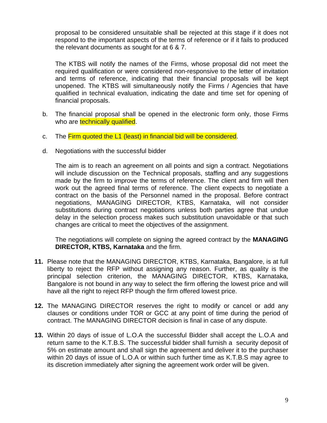proposal to be considered unsuitable shall be rejected at this stage if it does not respond to the important aspects of the terms of reference or if it fails to produced the relevant documents as sought for at 6 & 7.

 The KTBS will notify the names of the Firms, whose proposal did not meet the required qualification or were considered non-responsive to the letter of invitation and terms of reference, indicating that their financial proposals will be kept unopened. The KTBS will simultaneously notify the Firms / Agencies that have qualified in technical evaluation, indicating the date and time set for opening of financial proposals.

- b. The financial proposal shall be opened in the electronic form only, those Firms who are technically qualified.
- c. The Firm quoted the L1 (least) in financial bid will be considered.
- d. Negotiations with the successful bidder

The aim is to reach an agreement on all points and sign a contract. Negotiations will include discussion on the Technical proposals, staffing and any suggestions made by the firm to improve the terms of reference. The client and firm will then work out the agreed final terms of reference. The client expects to negotiate a contract on the basis of the Personnel named in the proposal. Before contract negotiations, MANAGING DIRECTOR, KTBS, Karnataka, will not consider substitutions during contract negotiations unless both parties agree that undue delay in the selection process makes such substitution unavoidable or that such changes are critical to meet the objectives of the assignment.

The negotiations will complete on signing the agreed contract by the **MANAGING DIRECTOR, KTBS, Karnataka** and the firm.

- **11.** Please note that the MANAGING DIRECTOR, KTBS, Karnataka, Bangalore, is at full liberty to reject the RFP without assigning any reason. Further, as quality is the principal selection criterion, the MANAGING DIRECTOR, KTBS, Karnataka, Bangalore is not bound in any way to select the firm offering the lowest price and will have all the right to reject RFP though the firm offered lowest price.
- **12.** The MANAGING DIRECTOR reserves the right to modify or cancel or add any clauses or conditions under TOR or GCC at any point of time during the period of contract. The MANAGING DIRECTOR decision is final in case of any dispute.
- **13.** Within 20 days of issue of L.O.A the successful Bidder shall accept the L.O.A and return same to the K.T.B.S. The successful bidder shall furnish a security deposit of 5% on estimate amount and shall sign the agreement and deliver it to the purchaser within 20 days of issue of L.O.A or within such further time as K.T.B.S may agree to its discretion immediately after signing the agreement work order will be given.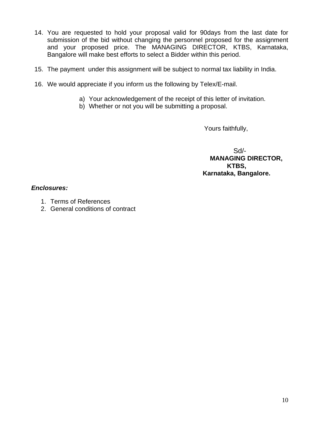- 14. You are requested to hold your proposal valid for 90days from the last date for submission of the bid without changing the personnel proposed for the assignment and your proposed price. The MANAGING DIRECTOR, KTBS, Karnataka, Bangalore will make best efforts to select a Bidder within this period.
- 15. The payment under this assignment will be subject to normal tax liability in India.
- 16. We would appreciate if you inform us the following by Telex/E-mail.
	- a) Your acknowledgement of the receipt of this letter of invitation.
	- b) Whether or not you will be submitting a proposal.

Yours faithfully,

Sd/- **MANAGING DIRECTOR, KTBS, Karnataka, Bangalore.** 

#### *Enclosures:*

- 1. Terms of References
- 2. General conditions of contract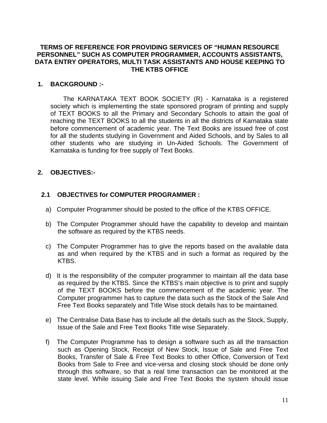#### **TERMS OF REFERENCE FOR PROVIDING SERVICES OF "HUMAN RESOURCE PERSONNEL" SUCH AS COMPUTER PROGRAMMER, ACCOUNTS ASSISTANTS, DATA ENTRY OPERATORS, MULTI TASK ASSISTANTS AND HOUSE KEEPING TO THE KTBS OFFICE**

#### **1. BACKGROUND :-**

The KARNATAKA TEXT BOOK SOCIETY (R) - Karnataka is a registered society which is implementing the state sponsored program of printing and supply of TEXT BOOKS to all the Primary and Secondary Schools to attain the goal of reaching the TEXT BOOKS to all the students in all the districts of Karnataka state before commencement of academic year. The Text Books are issued free of cost for all the students studying in Government and Aided Schools, and by Sales to all other students who are studying in Un-Aided Schools. The Government of Karnataka is funding for free supply of Text Books.

### **2. OBJECTIVES:-**

### **2.1 OBJECTIVES for COMPUTER PROGRAMMER :**

- a) Computer Programmer should be posted to the office of the KTBS OFFICE.
- b) The Computer Programmer should have the capability to develop and maintain the software as required by the KTBS needs.
- c) The Computer Programmer has to give the reports based on the available data as and when required by the KTBS and in such a format as required by the KTBS.
- d) It is the responsibility of the computer programmer to maintain all the data base as required by the KTBS. Since the KTBS's main objective is to print and supply of the TEXT BOOKS before the commencement of the academic year. The Computer programmer has to capture the data such as the Stock of the Sale And Free Text Books separately and Title Wise stock details has to be maintained.
- e) The Centralise Data Base has to include all the details such as the Stock, Supply, Issue of the Sale and Free Text Books Title wise Separately.
- f) The Computer Programme has to design a software such as all the transaction such as Opening Stock, Receipt of New Stock, Issue of Sale and Free Text Books, Transfer of Sale & Free Text Books to other Office, Conversion of Text Books from Sale to Free and vice-versa and closing stock should be done only through this software, so that a real time transaction can be monitored at the state level. While issuing Sale and Free Text Books the system should issue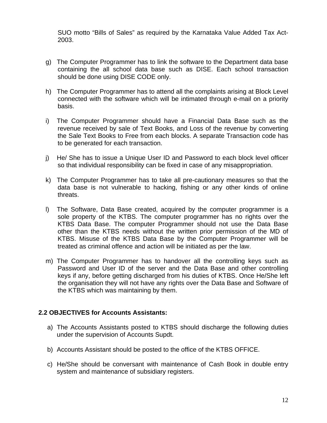SUO motto "Bills of Sales" as required by the Karnataka Value Added Tax Act-2003.

- g) The Computer Programmer has to link the software to the Department data base containing the all school data base such as DISE. Each school transaction should be done using DISE CODE only.
- h) The Computer Programmer has to attend all the complaints arising at Block Level connected with the software which will be intimated through e-mail on a priority basis.
- i) The Computer Programmer should have a Financial Data Base such as the revenue received by sale of Text Books, and Loss of the revenue by converting the Sale Text Books to Free from each blocks. A separate Transaction code has to be generated for each transaction.
- j) He/ She has to issue a Unique User ID and Password to each block level officer so that individual responsibility can be fixed in case of any misappropriation.
- k) The Computer Programmer has to take all pre-cautionary measures so that the data base is not vulnerable to hacking, fishing or any other kinds of online threats.
- l) The Software, Data Base created, acquired by the computer programmer is a sole property of the KTBS. The computer programmer has no rights over the KTBS Data Base. The computer Programmer should not use the Data Base other than the KTBS needs without the written prior permission of the MD of KTBS. Misuse of the KTBS Data Base by the Computer Programmer will be treated as criminal offence and action will be initiated as per the law.
- m) The Computer Programmer has to handover all the controlling keys such as Password and User ID of the server and the Data Base and other controlling keys if any, before getting discharged from his duties of KTBS. Once He/She left the organisation they will not have any rights over the Data Base and Software of the KTBS which was maintaining by them.

#### **2.2 OBJECTIVES for Accounts Assistants:**

- a) The Accounts Assistants posted to KTBS should discharge the following duties under the supervision of Accounts Supdt.
- b) Accounts Assistant should be posted to the office of the KTBS OFFICE.
- c) He/She should be conversant with maintenance of Cash Book in double entry system and maintenance of subsidiary registers.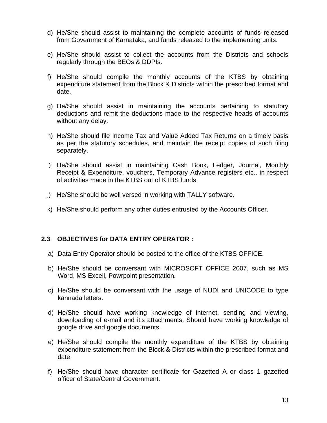- d) He/She should assist to maintaining the complete accounts of funds released from Government of Karnataka, and funds released to the implementing units.
- e) He/She should assist to collect the accounts from the Districts and schools regularly through the BEOs & DDPIs.
- f) He/She should compile the monthly accounts of the KTBS by obtaining expenditure statement from the Block & Districts within the prescribed format and date.
- g) He/She should assist in maintaining the accounts pertaining to statutory deductions and remit the deductions made to the respective heads of accounts without any delay.
- h) He/She should file Income Tax and Value Added Tax Returns on a timely basis as per the statutory schedules, and maintain the receipt copies of such filing separately.
- i) He/She should assist in maintaining Cash Book, Ledger, Journal, Monthly Receipt & Expenditure, vouchers, Temporary Advance registers etc., in respect of activities made in the KTBS out of KTBS funds.
- j) He/She should be well versed in working with TALLY software.
- k) He/She should perform any other duties entrusted by the Accounts Officer.

#### **2.3 OBJECTIVES for DATA ENTRY OPERATOR :**

- a) Data Entry Operator should be posted to the office of the KTBS OFFICE.
- b) He/She should be conversant with MICROSOFT OFFICE 2007, such as MS Word, MS Excell, Powrpoint presentation.
- c) He/She should be conversant with the usage of NUDI and UNICODE to type kannada letters.
- d) He/She should have working knowledge of internet, sending and viewing, downloading of e-mail and it's attachments. Should have working knowledge of google drive and google documents.
- e) He/She should compile the monthly expenditure of the KTBS by obtaining expenditure statement from the Block & Districts within the prescribed format and date.
- f) He/She should have character certificate for Gazetted A or class 1 gazetted officer of State/Central Government.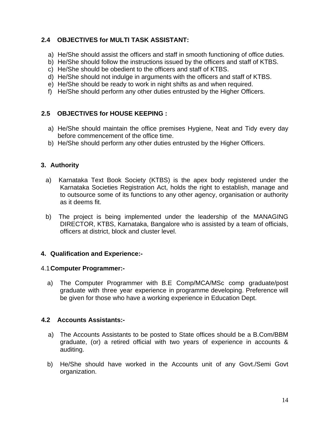# **2.4 OBJECTIVES for MULTI TASK ASSISTANT:**

- a) He/She should assist the officers and staff in smooth functioning of office duties.
- b) He/She should follow the instructions issued by the officers and staff of KTBS.
- c) He/She should be obedient to the officers and staff of KTBS.
- d) He/She should not indulge in arguments with the officers and staff of KTBS.
- e) He/She should be ready to work in night shifts as and when required.
- f) He/She should perform any other duties entrusted by the Higher Officers.

# **2.5 OBJECTIVES for HOUSE KEEPING :**

- a) He/She should maintain the office premises Hygiene, Neat and Tidy every day before commencement of the office time.
- b) He/She should perform any other duties entrusted by the Higher Officers.

# **3. Authority**

- a) Karnataka Text Book Society (KTBS) is the apex body registered under the Karnataka Societies Registration Act, holds the right to establish, manage and to outsource some of its functions to any other agency, organisation or authority as it deems fit.
- b) The project is being implemented under the leadership of the MANAGING DIRECTOR, KTBS, Karnataka, Bangalore who is assisted by a team of officials, officers at district, block and cluster level.

# **4. Qualification and Experience:-**

# 4.1 **Computer Programmer:-**

a) The Computer Programmer with B.E Comp/MCA/MSc comp graduate/post graduate with three year experience in programme developing. Preference will be given for those who have a working experience in Education Dept.

# **4.2 Accounts Assistants:-**

- a) The Accounts Assistants to be posted to State offices should be a B.Com/BBM graduate, (or) a retired official with two years of experience in accounts & auditing.
- b) He/She should have worked in the Accounts unit of any Govt./Semi Govt organization.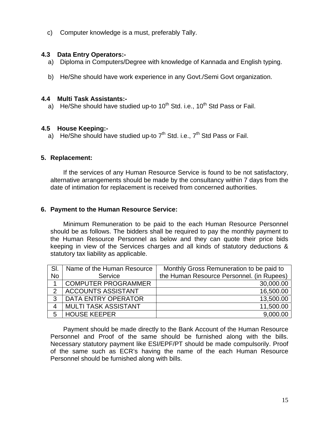c) Computer knowledge is a must, preferably Tally.

## **4.3 Data Entry Operators:-**

- a) Diploma in Computers/Degree with knowledge of Kannada and English typing.
- b) He/She should have work experience in any Govt./Semi Govt organization.

#### **4.4 Multi Task Assistants:-**

a) He/She should have studied up-to  $10^{th}$  Std. i.e.,  $10^{th}$  Std Pass or Fail.

#### **4.5 House Keeping:-**

a) He/She should have studied up-to  $7<sup>th</sup>$  Std. i.e.,  $7<sup>th</sup>$  Std Pass or Fail.

### **5. Replacement:**

If the services of any Human Resource Service is found to be not satisfactory, alternative arrangements should be made by the consultancy within 7 days from the date of intimation for replacement is received from concerned authorities.

#### **6. Payment to the Human Resource Service:**

Minimum Remuneration to be paid to the each Human Resource Personnel should be as follows. The bidders shall be required to pay the monthly payment to the Human Resource Personnel as below and they can quote their price bids keeping in view of the Services charges and all kinds of statutory deductions & statutory tax liability as applicable.

| SI.       | Name of the Human Resource  | Monthly Gross Remuneration to be paid to  |
|-----------|-----------------------------|-------------------------------------------|
| <b>No</b> | Service                     | the Human Resource Personnel. (in Rupees) |
|           | <b>COMPUTER PROGRAMMER</b>  | 30,000.00                                 |
|           | <b>ACCOUNTS ASSISTANT</b>   | 16,500.00                                 |
| 3         | <b>DATA ENTRY OPERATOR</b>  | 13,500.00                                 |
| 4         | <b>MULTI TASK ASSISTANT</b> | 11,500.00                                 |
| 5         | <b>HOUSE KEEPER</b>         | 9,000.00                                  |

Payment should be made directly to the Bank Account of the Human Resource Personnel and Proof of the same should be furnished along with the bills. Necessary statutory payment like ESI/EPF/PT should be made compulsorily. Proof of the same such as ECR's having the name of the each Human Resource Personnel should be furnished along with bills.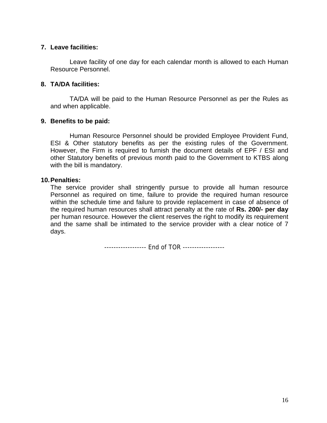#### **7. Leave facilities:**

Leave facility of one day for each calendar month is allowed to each Human Resource Personnel.

#### **8. TA/DA facilities:**

TA/DA will be paid to the Human Resource Personnel as per the Rules as and when applicable.

### **9. Benefits to be paid:**

 Human Resource Personnel should be provided Employee Provident Fund, ESI & Other statutory benefits as per the existing rules of the Government. However, the Firm is required to furnish the document details of EPF / ESI and other Statutory benefits of previous month paid to the Government to KTBS along with the bill is mandatory.

### **10. Penalties:**

The service provider shall stringently pursue to provide all human resource Personnel as required on time, failure to provide the required human resource within the schedule time and failure to provide replacement in case of absence of the required human resources shall attract penalty at the rate of **Rs. 200/- per day** per human resource. However the client reserves the right to modify its requirement and the same shall be intimated to the service provider with a clear notice of 7 days.

------------------ End of TOR ------------------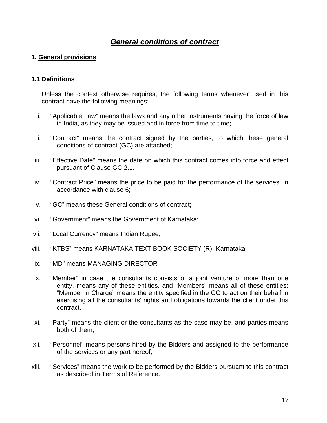# *General conditions of contract*

## **1. General provisions**

#### **1.1 Definitions**

Unless the context otherwise requires, the following terms whenever used in this contract have the following meanings;

- i. "Applicable Law" means the laws and any other instruments having the force of law in India, as they may be issued and in force from time to time;
- ii. "Contract" means the contract signed by the parties, to which these general conditions of contract (GC) are attached;
- iii. "Effective Date" means the date on which this contract comes into force and effect pursuant of Clause GC 2.1.
- iv. "Contract Price" means the price to be paid for the performance of the services, in accordance with clause 6;
- v. "GC" means these General conditions of contract;
- vi. "Government" means the Government of Karnataka;
- vii. "Local Currency" means Indian Rupee;
- viii. "KTBS" means KARNATAKA TEXT BOOK SOCIETY (R) -Karnataka
- ix. "MD" means MANAGING DIRECTOR
- x. "Member" in case the consultants consists of a joint venture of more than one entity, means any of these entities, and "Members" means all of these entities; "Member in Charge" means the entity specified in the GC to act on their behalf in exercising all the consultants' rights and obligations towards the client under this contract.
- xi. "Party" means the client or the consultants as the case may be, and parties means both of them;
- xii. "Personnel" means persons hired by the Bidders and assigned to the performance of the services or any part hereof;
- xiii. "Services" means the work to be performed by the Bidders pursuant to this contract as described in Terms of Reference.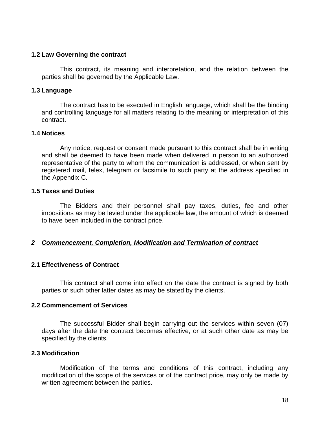#### **1.2 Law Governing the contract**

This contract, its meaning and interpretation, and the relation between the parties shall be governed by the Applicable Law.

#### **1.3 Language**

The contract has to be executed in English language, which shall be the binding and controlling language for all matters relating to the meaning or interpretation of this contract.

#### **1.4 Notices**

Any notice, request or consent made pursuant to this contract shall be in writing and shall be deemed to have been made when delivered in person to an authorized representative of the party to whom the communication is addressed, or when sent by registered mail, telex, telegram or facsimile to such party at the address specified in the Appendix-C.

#### **1.5 Taxes and Duties**

The Bidders and their personnel shall pay taxes, duties, fee and other impositions as may be levied under the applicable law, the amount of which is deemed to have been included in the contract price.

#### *2 Commencement, Completion, Modification and Termination of contract*

#### **2.1 Effectiveness of Contract**

This contract shall come into effect on the date the contract is signed by both parties or such other latter dates as may be stated by the clients.

#### **2.2 Commencement of Services**

The successful Bidder shall begin carrying out the services within seven (07) days after the date the contract becomes effective, or at such other date as may be specified by the clients.

#### **2.3 Modification**

Modification of the terms and conditions of this contract, including any modification of the scope of the services or of the contract price, may only be made by written agreement between the parties.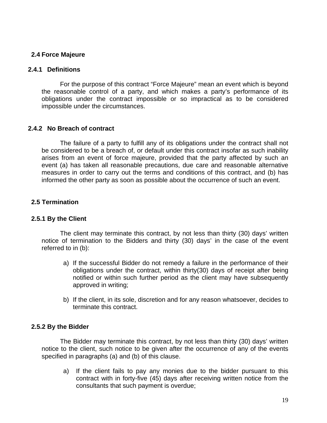### **2.4 Force Majeure**

#### **2.4.1 Definitions**

For the purpose of this contract "Force Majeure" mean an event which is beyond the reasonable control of a party, and which makes a party's performance of its obligations under the contract impossible or so impractical as to be considered impossible under the circumstances.

#### **2.4.2 No Breach of contract**

The failure of a party to fulfill any of its obligations under the contract shall not be considered to be a breach of, or default under this contract insofar as such inability arises from an event of force majeure, provided that the party affected by such an event (a) has taken all reasonable precautions, due care and reasonable alternative measures in order to carry out the terms and conditions of this contract, and (b) has informed the other party as soon as possible about the occurrence of such an event.

### **2.5 Termination**

#### **2.5.1 By the Client**

The client may terminate this contract, by not less than thirty (30) days' written notice of termination to the Bidders and thirty (30) days' in the case of the event referred to in (b):

- a) If the successful Bidder do not remedy a failure in the performance of their obligations under the contract, within thirty(30) days of receipt after being notified or within such further period as the client may have subsequently approved in writing;
- b) If the client, in its sole, discretion and for any reason whatsoever, decides to terminate this contract.

#### **2.5.2 By the Bidder**

The Bidder may terminate this contract, by not less than thirty (30) days' written notice to the client, such notice to be given after the occurrence of any of the events specified in paragraphs (a) and (b) of this clause.

a) If the client fails to pay any monies due to the bidder pursuant to this contract with in forty-five (45) days after receiving written notice from the consultants that such payment is overdue;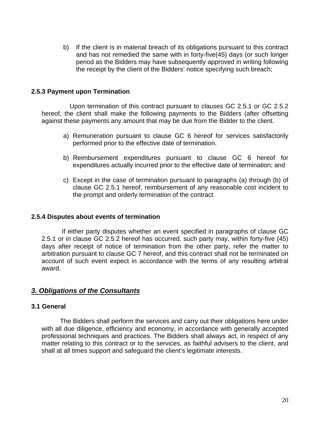b) If the client is in material breach of its obligations pursuant to this contract and has not remedied the same with in forty-five(45) days (or such longer period as the Bidders may have subsequently approved in writing following the receipt by the client of the Bidders' notice specifying such breach;

#### **2.5.3 Payment upon Termination**

 Upon termination of this contract pursuant to clauses GC 2.5.1 or GC 2.5.2 hereof, the client shall make the following payments to the Bidders (after offsetting against these payments any amount that may be due from the Bidder to the client.

- a) Remuneration pursuant to clause GC 6 hereof for services satisfactorily performed prior to the effective date of termination.
- b) Reimbursement expenditures pursuant to clause GC 6 hereof for expenditures actually incurred prior to the effective date of termination; and
- c) Except in the case of termination pursuant to paragraphs (a) through (b) of clause GC 2.5.1 hereof, reimbursement of any reasonable cost incident to the prompt and orderly termination of the contract.

#### **2.5.4 Disputes about events of termination**

 If either party disputes whether an event specified in paragraphs of clause GC 2.5.1 or in clause GC 2.5.2 hereof has occurred, such party may, within forty-five (45) days after receipt of notice of termination from the other party, refer the matter to arbitration pursuant to clause GC 7 hereof, and this contract shall not be terminated on account of such event expect in accordance with the terms of any resulting arbitral award.

# *3. Obligations of the Consultants*

#### **3.1 General**

The Bidders shall perform the services and carry out their obligations here under with all due diligence, efficiency and economy, in accordance with generally accepted professional techniques and practices. The Bidders shall always act, in respect of any matter relating to this contract or to the services, as faithful advisers to the client, and shall at all times support and safeguard the client's legitimate interests.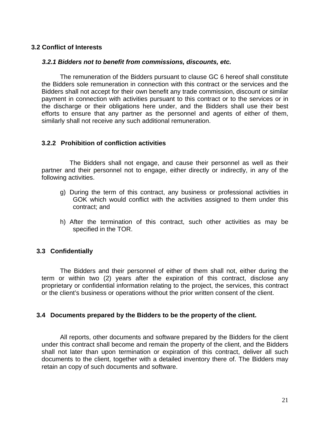#### **3.2 Conflict of Interests**

#### *3.2.1 Bidders not to benefit from commissions, discounts, etc.*

The remuneration of the Bidders pursuant to clause GC 6 hereof shall constitute the Bidders sole remuneration in connection with this contract or the services and the Bidders shall not accept for their own benefit any trade commission, discount or similar payment in connection with activities pursuant to this contract or to the services or in the discharge or their obligations here under, and the Bidders shall use their best efforts to ensure that any partner as the personnel and agents of either of them, similarly shall not receive any such additional remuneration.

#### **3.2.2 Prohibition of confliction activities**

 The Bidders shall not engage, and cause their personnel as well as their partner and their personnel not to engage, either directly or indirectly, in any of the following activities.

- g) During the term of this contract, any business or professional activities in GOK which would conflict with the activities assigned to them under this contract; and
- h) After the termination of this contract, such other activities as may be specified in the TOR.

#### **3.3 Confidentially**

The Bidders and their personnel of either of them shall not, either during the term or within two (2) years after the expiration of this contract, disclose any proprietary or confidential information relating to the project, the services, this contract or the client's business or operations without the prior written consent of the client.

#### **3.4 Documents prepared by the Bidders to be the property of the client.**

All reports, other documents and software prepared by the Bidders for the client under this contract shall become and remain the property of the client, and the Bidders shall not later than upon termination or expiration of this contract, deliver all such documents to the client, together with a detailed inventory there of. The Bidders may retain an copy of such documents and software.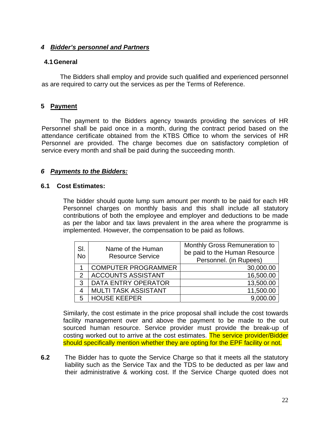## *4 Bidder's personnel and Partners*

#### **4.1 General**

The Bidders shall employ and provide such qualified and experienced personnel as are required to carry out the services as per the Terms of Reference.

#### **5 Payment**

The payment to the Bidders agency towards providing the services of HR Personnel shall be paid once in a month, during the contract period based on the attendance certificate obtained from the KTBS Office to whom the services of HR Personnel are provided. The charge becomes due on satisfactory completion of service every month and shall be paid during the succeeding month.

#### *6 Payments to the Bidders:*

#### **6.1 Cost Estimates:**

The bidder should quote lump sum amount per month to be paid for each HR Personnel charges on monthly basis and this shall include all statutory contributions of both the employee and employer and deductions to be made as per the labor and tax laws prevalent in the area where the programme is implemented. However, the compensation to be paid as follows.

| SI.<br><b>No</b> | Name of the Human<br><b>Resource Service</b> | Monthly Gross Remuneration to<br>be paid to the Human Resource<br>Personnel. (in Rupees) |
|------------------|----------------------------------------------|------------------------------------------------------------------------------------------|
|                  | <b>COMPUTER PROGRAMMER</b>                   | 30,000.00                                                                                |
| $\mathcal{P}$    | <b>ACCOUNTS ASSISTANT</b>                    | 16,500.00                                                                                |
| 3                | DATA ENTRY OPERATOR                          | 13,500.00                                                                                |
| 4                | <b>MULTI TASK ASSISTANT</b>                  | 11,500.00                                                                                |
| 5                | <b>HOUSE KEEPER</b>                          | 9.000.00                                                                                 |

Similarly, the cost estimate in the price proposal shall include the cost towards facility management over and above the payment to be made to the out sourced human resource. Service provider must provide the break-up of costing worked out to arrive at the cost estimates. The service provider/Bidder should specifically mention whether they are opting for the EPF facility or not.

**6.2** The Bidder has to quote the Service Charge so that it meets all the statutory liability such as the Service Tax and the TDS to be deducted as per law and their administrative & working cost. If the Service Charge quoted does not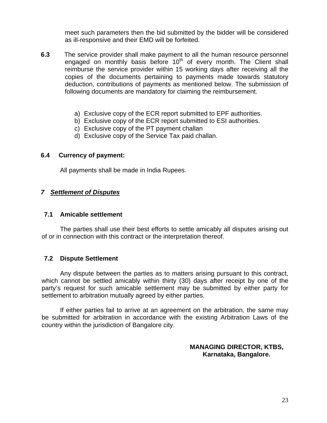meet such parameters then the bid submitted by the bidder will be considered as ill-responsive and their EMD will be forfeited.

- **6.3** The service provider shall make payment to all the human resource personnel engaged on monthly basis before  $10<sup>th</sup>$  of every month. The Client shall reimburse the service provider within 15 working days after receiving all the copies of the documents pertaining to payments made towards statutory deduction, contributions of payments as mentioned below. The submission of following documents are mandatory for claiming the reimbursement.
	- a) Exclusive copy of the ECR report submitted to EPF authorities.
	- b) Exclusive copy of the ECR report submitted to ESI authorities.
	- c) Exclusive copy of the PT payment challan
	- d) Exclusive copy of the Service Tax paid challan.

### **6.4 Currency of payment:**

All payments shall be made in India Rupees.

# *7 Settlement of Disputes*

#### **7.1 Amicable settlement**

The parties shall use their best efforts to settle amicably all disputes arising out of or in connection with this contract or the interpretation thereof.

#### **7.2 Dispute Settlement**

Any dispute between the parties as to matters arising pursuant to this contract, which cannot be settled amicably within thirty (30) days after receipt by one of the party's request for such amicable settlement may be submitted by either party for settlement to arbitration mutually agreed by either parties.

If either parties fail to arrive at an agreement on the arbitration, the same may be submitted for arbitration in accordance with the existing Arbitration Laws of the country within the jurisdiction of Bangalore city.

#### **MANAGING DIRECTOR, KTBS, Karnataka, Bangalore.**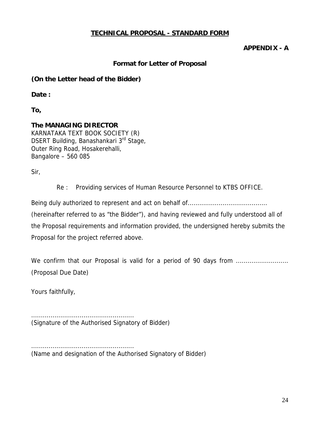# **TECHNICAL PROPOSAL - STANDARD FORM**

# **APPENDIX - A**

## **Format for Letter of Proposal**

### **(On the Letter head of the Bidder)**

**Date :** 

**To,** 

#### **The MANAGING DIRECTOR**  KARNATAKA TEXT BOOK SOCIETY (R) DSERT Building, Banashankari 3<sup>rd</sup> Stage, Outer Ring Road, Hosakerehalli, Bangalore – 560 085

Sir,

Re : Providing services of Human Resource Personnel to KTBS OFFICE.

Being duly authorized to represent and act on behalf of......................................... (hereinafter referred to as "the Bidder"), and having reviewed and fully understood all of the Proposal requirements and information provided, the undersigned hereby submits the Proposal for the project referred above.

We confirm that our Proposal is valid for a period of 90 days from ........................... (Proposal Due Date)

Yours faithfully,

..................................................... (Signature of the Authorised Signatory of Bidder)

..................................................... (Name and designation of the Authorised Signatory of Bidder)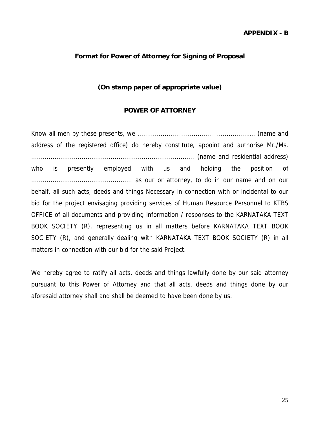#### **APPENDIX - B**

#### **Format for Power of Attorney for Signing of Proposal**

#### **(On stamp paper of appropriate value)**

#### **POWER OF ATTORNEY**

Know all men by these presents, we ........................................................….. (name and address of the registered office) do hereby constitute, appoint and authorise Mr./Ms. .................................................................................... (name and residential address) who is presently employed with us and holding the position of .................................................... as our or attorney, to do in our name and on our behalf, all such acts, deeds and things Necessary in connection with or incidental to our bid for the project envisaging providing services of Human Resource Personnel to KTBS OFFICE of all documents and providing information / responses to the KARNATAKA TEXT BOOK SOCIETY (R), representing us in all matters before KARNATAKA TEXT BOOK SOCIETY (R), and generally dealing with KARNATAKA TEXT BOOK SOCIETY (R) in all matters in connection with our bid for the said Project.

We hereby agree to ratify all acts, deeds and things lawfully done by our said attorney pursuant to this Power of Attorney and that all acts, deeds and things done by our aforesaid attorney shall and shall be deemed to have been done by us.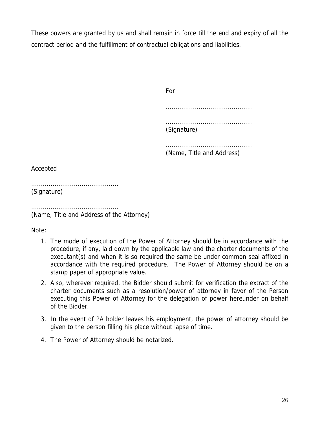These powers are granted by us and shall remain in force till the end and expiry of all the contract period and the fulfillment of contractual obligations and liabilities.

**Formal Contract of the State State State State State State State State State State State State State State State**  ............................................. ............................................. (Signature) ............................................. (Name, Title and Address)

Accepted

............................................. (Signature)

............................................. (Name, Title and Address of the Attorney)

Note:

- 1. The mode of execution of the Power of Attorney should be in accordance with the procedure, if any, laid down by the applicable law and the charter documents of the executant(s) and when it is so required the same be under common seal affixed in accordance with the required procedure. The Power of Attorney should be on a stamp paper of appropriate value.
- 2. Also, wherever required, the Bidder should submit for verification the extract of the charter documents such as a resolution/power of attorney in favor of the Person executing this Power of Attorney for the delegation of power hereunder on behalf of the Bidder.
- 3. In the event of PA holder leaves his employment, the power of attorney should be given to the person filling his place without lapse of time.
- 4. The Power of Attorney should be notarized.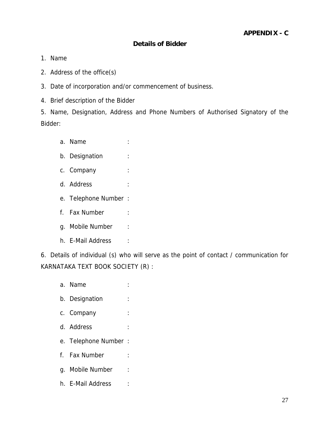# **Details of Bidder**

- 1. Name
- 2. Address of the office(s)
- 3. Date of incorporation and/or commencement of business.
- 4. Brief description of the Bidder

5. Name, Designation, Address and Phone Numbers of Authorised Signatory of the Bidder:

- a. Name : :
- b. Designation :
- c. Company :
- d. Address :
- e. Telephone Number :
- f. Fax Number :
- g. Mobile Number :
- h. E-Mail Address :

6. Details of individual (s) who will serve as the point of contact / communication for KARNATAKA TEXT BOOK SOCIETY (R) :

a. Name : b. Designation : c. Company : d. Address : e. Telephone Number : f. Fax Number : g. Mobile Number : h. E-Mail Address :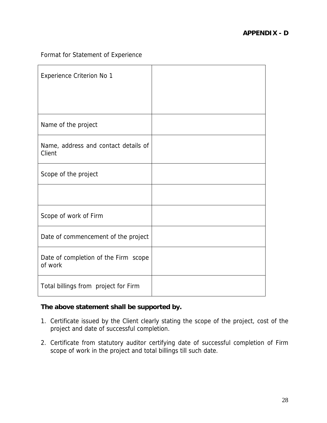# Format for Statement of Experience

| Experience Criterion No 1                       |  |
|-------------------------------------------------|--|
|                                                 |  |
| Name of the project                             |  |
| Name, address and contact details of<br>Client  |  |
| Scope of the project                            |  |
|                                                 |  |
| Scope of work of Firm                           |  |
| Date of commencement of the project             |  |
| Date of completion of the Firm scope<br>of work |  |
| Total billings from project for Firm            |  |

# **The above statement shall be supported by.**

- 1. Certificate issued by the Client clearly stating the scope of the project, cost of the project and date of successful completion.
- 2. Certificate from statutory auditor certifying date of successful completion of Firm scope of work in the project and total billings till such date.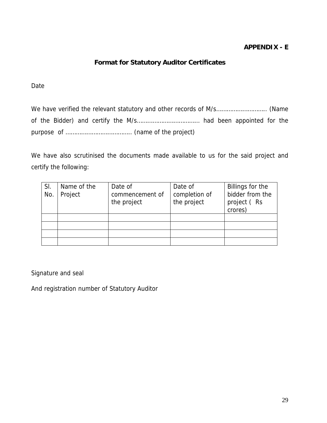# **APPENDIX - E**

# **Format for Statutory Auditor Certificates**

#### Date

We have verified the relevant statutory and other records of M/s……………………….. (Name of the Bidder) and certify the M/s……………………………… had been appointed for the purpose of ……………………………….. (name of the project)

We have also scrutinised the documents made available to us for the said project and certify the following:

| SI.<br>No | Name of the<br>Project | Date of<br>commencement of<br>the project | Date of<br>completion of<br>the project | Billings for the<br>bidder from the<br>project (Rs<br>crores) |
|-----------|------------------------|-------------------------------------------|-----------------------------------------|---------------------------------------------------------------|
|           |                        |                                           |                                         |                                                               |
|           |                        |                                           |                                         |                                                               |
|           |                        |                                           |                                         |                                                               |
|           |                        |                                           |                                         |                                                               |

Signature and seal

And registration number of Statutory Auditor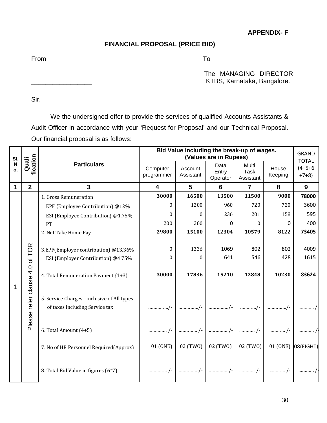**APPENDIX- F** 

#### **FINANCIAL PROPOSAL (PRICE BID)**

From To

The MANAGING DIRECTOR KTBS, Karnataka, Bangalore.

Sir,

 We the undersigned offer to provide the services of qualified Accounts Assistants & Audit Officer in accordance with your 'Request for Proposal' and our Technical Proposal. Our financial proposal is as follows:

| SI.               |                   |                                                                              |                         | Bid Value including the break-up of wages. | (Values are in Rupees)    |                            |                  | <b>GRAND</b><br><b>TOTAL</b> |
|-------------------|-------------------|------------------------------------------------------------------------------|-------------------------|--------------------------------------------|---------------------------|----------------------------|------------------|------------------------------|
| $\mathsf N$<br>o. | fication<br>Quali | <b>Particulars</b>                                                           | Computer<br>programmer  | Account<br>Assistant                       | Data<br>Entry<br>Operator | Multi<br>Task<br>Assistant | House<br>Keeping | $(4+5+6)$<br>$+7+8$          |
| 1                 | $\overline{2}$    | $\overline{3}$                                                               | $\overline{\mathbf{4}}$ | 5                                          | $6\phantom{1}$            | $\overline{7}$             | 8                | 9                            |
|                   |                   | 1. Gross Remuneration                                                        | 30000                   | 16500                                      | 13500                     | 11500                      | 9000             | 78000                        |
|                   |                   | EPF {Employee Contribution} @12%                                             | 0                       | 1200                                       | 960                       | 720                        | 720              | 3600                         |
|                   |                   | ESI {Employee Contribution} @1.75%                                           | 0                       | $\Omega$                                   | 236                       | 201                        | 158              | 595                          |
|                   |                   | PT                                                                           | 200                     | 200                                        | $\Omega$                  | $\theta$                   | 0                | 400                          |
|                   |                   | 2. Net Take Home Pay                                                         | 29800                   | 15100                                      | 12304                     | 10579                      | 8122             | 73405                        |
|                   |                   | 3.EPF(Employer contribution) @13.36%                                         | $\theta$                | 1336                                       | 1069                      | 802                        | 802              | 4009                         |
|                   |                   | ESI {Employer Contribution} @4.75%                                           | 0                       | $\Omega$                                   | 641                       | 546                        | 428              | 1615                         |
| 1                 | 4.0 of TOR        | 4. Total Remuneration Payment {1+3}                                          | 30000                   | 17836                                      | 15210                     | 12848                      | 10230            | 83624                        |
|                   | refer clause      | 5. Service Charges -inclusive of All types<br>of taxes including Service tax |                         |                                            | /-                        | /-                         |                  |                              |
|                   | Please            | 6. Total Amount (4+5)                                                        |                         |                                            | /-                        | /-                         |                  |                              |
|                   |                   | 7. No of HR Personnel Required(Approx)                                       | 01 (ONE)                | 02 (TWO)                                   | 02 (TWO)                  | 02 (TWO)                   | 01 (ONE)         | 08(EIGHT)                    |
|                   |                   | 8. Total Bid Value in figures (6*7)                                          | /-                      | /-                                         | /-                        | /-                         | /-               |                              |